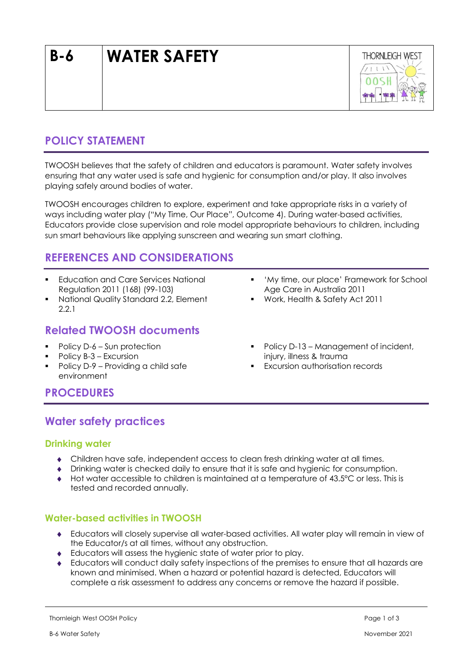# **B-6 WATER SAFETY**



## **POLICY STATEMENT**

TWOOSH believes that the safety of children and educators is paramount. Water safety involves ensuring that any water used is safe and hygienic for consumption and/or play. It also involves playing safely around bodies of water.

TWOOSH encourages children to explore, experiment and take appropriate risks in a variety of ways including water play ("My Time, Our Place", Outcome 4). During water-based activities, Educators provide close supervision and role model appropriate behaviours to children, including sun smart behaviours like applying sunscreen and wearing sun smart clothing.

### **REFERENCES AND CONSIDERATIONS**

- **Education and Care Services National** Regulation 2011 (168) (99-103)
- National Quality Standard 2.2, Element 2.2.1

### **Related TWOOSH documents**

- Policy D-6 Sun protection
- Policy B-3 Excursion
- Policy D-9 Providing a child safe environment
- 'My time, our place' Framework for School Age Care in Australia 2011
- Work, Health & Safety Act 2011
- Policy D-13 Management of incident, injury, illness & trauma
- Excursion authorisation records

### **PROCEDURES**

### **Water safety practices**

#### **Drinking water**

- Children have safe, independent access to clean fresh drinking water at all times.
- Drinking water is checked daily to ensure that it is safe and hygienic for consumption.
- Hot water accessible to children is maintained at a temperature of 43.5°C or less. This is tested and recorded annually.

### **Water-based activities in TWOOSH**

- Educators will closely supervise all water-based activities. All water play will remain in view of the Educator/s at all times, without any obstruction.
- Educators will assess the hygienic state of water prior to play.
- Educators will conduct daily safety inspections of the premises to ensure that all hazards are known and minimised. When a hazard or potential hazard is detected, Educators will complete a risk assessment to address any concerns or remove the hazard if possible.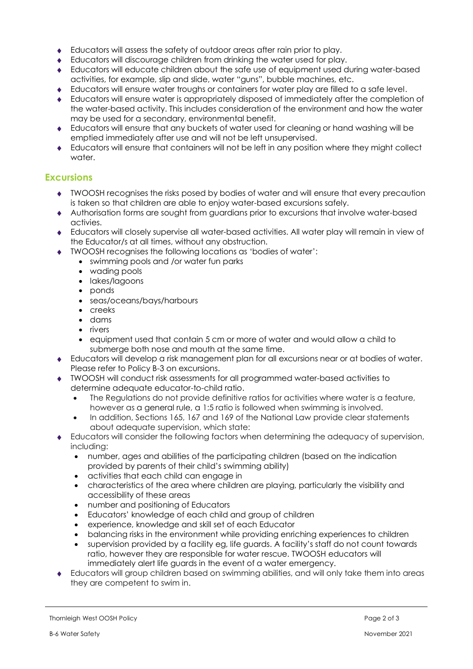- Educators will assess the safety of outdoor areas after rain prior to play.
- Educators will discourage children from drinking the water used for play.
- Educators will educate children about the safe use of equipment used during water-based activities, for example, slip and slide, water "guns", bubble machines, etc.
- Educators will ensure water troughs or containers for water play are filled to a safe level.
- Educators will ensure water is appropriately disposed of immediately after the completion of the water-based activity. This includes consideration of the environment and how the water may be used for a secondary, environmental benefit.
- Educators will ensure that any buckets of water used for cleaning or hand washing will be emptied immediately after use and will not be left unsupervised.
- Educators will ensure that containers will not be left in any position where they might collect water.

#### **Excursions**

- TWOOSH recognises the risks posed by bodies of water and will ensure that every precaution is taken so that children are able to enjoy water-based excursions safely.
- Authorisation forms are sought from guardians prior to excursions that involve water-based activies.
- Educators will closely supervise all water-based activities. All water play will remain in view of the Educator/s at all times, without any obstruction.
- TWOOSH recognises the following locations as 'bodies of water':
	- swimming pools and /or water fun parks
		- wading pools
		- lakes/lagoons
		- ponds
		- seas/oceans/bays/harbours
		- creeks
		- dams
		- rivers
		- equipment used that contain 5 cm or more of water and would allow a child to submerge both nose and mouth at the same time.
- Educators will develop a risk management plan for all excursions near or at bodies of water. Please refer to Policy B-3 on excursions.
- TWOOSH will conduct risk assessments for all programmed water-based activities to determine adequate educator-to-child ratio.
	- The Regulations do not provide definitive ratios for activities where water is a feature, however as a general rule, a 1:5 ratio is followed when swimming is involved.
	- In addition, Sections 165, 167 and 169 of the National Law provide clear statements about adequate supervision, which state:
- Educators will consider the following factors when determining the adequacy of supervision, including:
	- number, ages and abilities of the participating children (based on the indication provided by parents of their child's swimming ability)
	- activities that each child can engage in
	- characteristics of the area where children are playing, particularly the visibility and accessibility of these areas
	- number and positioning of Educators
	- Educators' knowledge of each child and group of children
	- experience, knowledge and skill set of each Educator
	- balancing risks in the environment while providing enriching experiences to children
	- supervision provided by a facility eg, life guards. A facility's staff do not count towards ratio, however they are responsible for water rescue. TWOOSH educators will immediately alert life guards in the event of a water emergency.
- Educators will group children based on swimming abilities, and will only take them into areas they are competent to swim in.